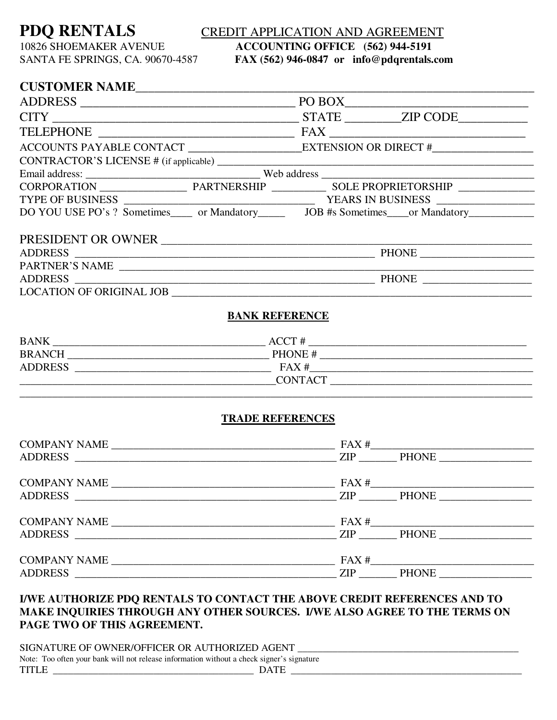# **PDQ RENTALS** CREDIT APPLICATION AND AGREEMENT

SANTA FE SPRINGS, CA. 90670-4587 **FAX (562) 946-0847 or info@pdqrentals.com** 

# 10826 SHOEMAKER AVENUE **ACCOUNTING OFFICE (562) 944-5191**

## **CUSTOMER NAME**

| DO YOU USE PO's ? Sometimes______ or Mandatory___________ JOB #s Sometimes____or Mandatory__________ |  |  |  |  |
|------------------------------------------------------------------------------------------------------|--|--|--|--|
|                                                                                                      |  |  |  |  |
| PRESIDENT OR OWNER                                                                                   |  |  |  |  |
|                                                                                                      |  |  |  |  |
| PARTNER'S NAME                                                                                       |  |  |  |  |
|                                                                                                      |  |  |  |  |

LOCATION OF ORIGINAL JOB \_\_\_\_\_\_\_\_\_\_\_\_\_\_\_\_\_\_\_\_\_\_\_\_\_\_\_\_\_\_\_\_\_\_\_\_\_\_\_\_\_\_\_\_\_\_\_\_\_\_\_\_\_\_\_\_\_\_\_\_\_\_\_\_\_\_

#### **BANK REFERENCE**

| <b>BANK</b>    | ACCT#          |  |
|----------------|----------------|--|
| <b>BRANCH</b>  | PHONE#         |  |
| <b>ADDRESS</b> | FAX#           |  |
|                | <b>CONTACT</b> |  |
|                |                |  |

#### **TRADE REFERENCES**

| ADDRESS ZIP PHONE   |
|---------------------|
|                     |
| ADDRESS ZIP PHONE   |
| COMPANY NAME $\_\_$ |
|                     |

### **I/WE AUTHORIZE PDQ RENTALS TO CONTACT THE ABOVE CREDIT REFERENCES AND TO MAKE INQUIRIES THROUGH ANY OTHER SOURCES. I/WE ALSO AGREE TO THE TERMS ON PAGE TWO OF THIS AGREEMENT.**

| SIGNATURE OF OWNER/OFFICER OR AUTHORIZED AGENT                                            |             |  |  |
|-------------------------------------------------------------------------------------------|-------------|--|--|
| Note: Too often your bank will not release information without a check signer's signature |             |  |  |
| <b>TITLE</b>                                                                              | <b>DATE</b> |  |  |